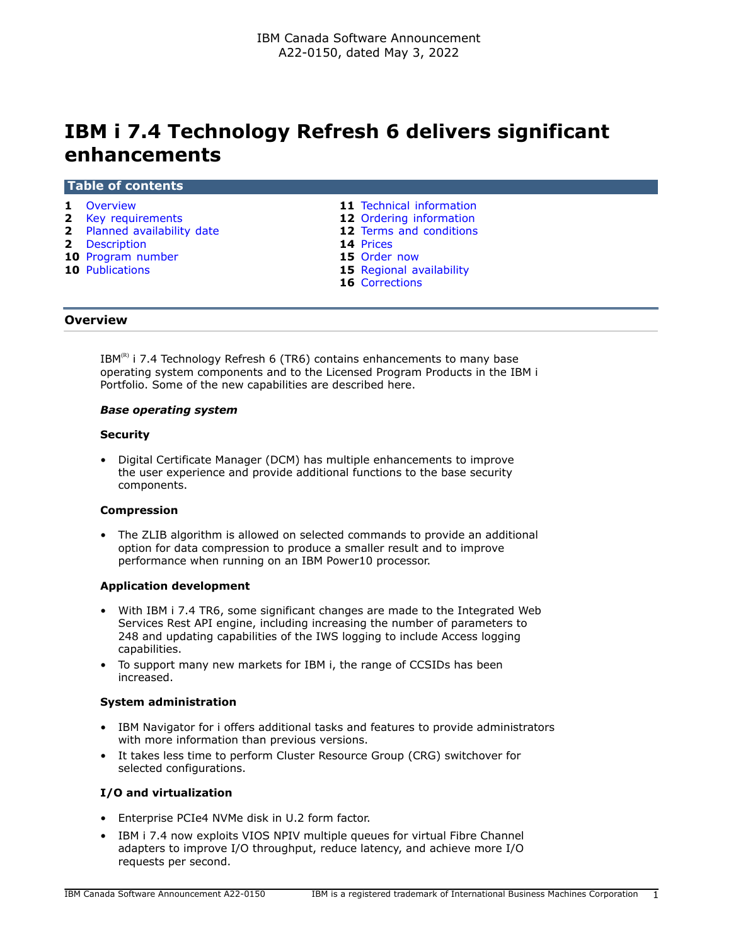# **IBM i 7.4 Technology Refresh 6 delivers significant enhancements**

#### **Table of contents**

- 
- **2** [Key requirements](#page-1-0) **12** [Ordering information](#page-11-0)
- **2** [Planned availability date](#page-1-1) **12** [Terms and conditions](#page-11-1)<br> **2** Description **14** Prices
- 
- **2** [Description](#page-1-2) **14** [Prices](#page-13-0)<br> **10** Program number **15** Order now **10** [Program number](#page-9-0)
- **10** [Publications](#page-9-1) **15** [Regional availability](#page-14-1)
- **1** [Overview](#page-0-0) **11** [Technical information](#page-10-0)
	-
	-
	-
	-
	-
	- **16** [Corrections](#page-15-0)

#### <span id="page-0-0"></span>**Overview**

IBM $(R)$  i 7.4 Technology Refresh 6 (TR6) contains enhancements to many base operating system components and to the Licensed Program Products in the IBM i Portfolio. Some of the new capabilities are described here.

#### *Base operating system*

#### **Security**

• Digital Certificate Manager (DCM) has multiple enhancements to improve the user experience and provide additional functions to the base security components.

#### **Compression**

• The ZLIB algorithm is allowed on selected commands to provide an additional option for data compression to produce a smaller result and to improve performance when running on an IBM Power10 processor.

#### **Application development**

- With IBM i 7.4 TR6, some significant changes are made to the Integrated Web Services Rest API engine, including increasing the number of parameters to 248 and updating capabilities of the IWS logging to include Access logging capabilities.
- To support many new markets for IBM i, the range of CCSIDs has been increased.

#### **System administration**

- IBM Navigator for i offers additional tasks and features to provide administrators with more information than previous versions.
- It takes less time to perform Cluster Resource Group (CRG) switchover for selected configurations.

#### **I/O and virtualization**

- Enterprise PCIe4 NVMe disk in U.2 form factor.
- IBM i 7.4 now exploits VIOS NPIV multiple queues for virtual Fibre Channel adapters to improve I/O throughput, reduce latency, and achieve more I/O requests per second.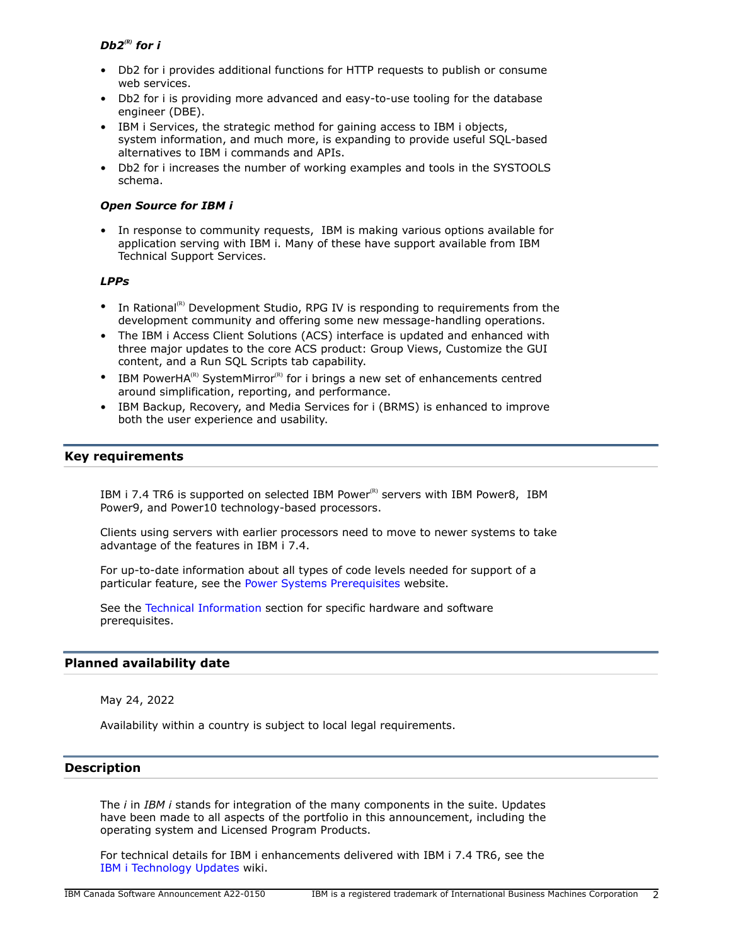# *Db2(R) for i*

- Db2 for i provides additional functions for HTTP requests to publish or consume web services.
- Db2 for i is providing more advanced and easy-to-use tooling for the database engineer (DBE).
- IBM i Services, the strategic method for gaining access to IBM i objects, system information, and much more, is expanding to provide useful SQL-based alternatives to IBM i commands and APIs.
- Db2 for i increases the number of working examples and tools in the SYSTOOLS schema.

# *Open Source for IBM i*

• In response to community requests, IBM is making various options available for application serving with IBM i. Many of these have support available from IBM Technical Support Services.

## *LPPs*

- In Rational<sup>(R)</sup> Development Studio, RPG IV is responding to requirements from the development community and offering some new message-handling operations.
- The IBM i Access Client Solutions (ACS) interface is updated and enhanced with three major updates to the core ACS product: Group Views, Customize the GUI content, and a Run SQL Scripts tab capability.
- IBM PowerHA<sup>(R)</sup> SystemMirror<sup>(R)</sup> for i brings a new set of enhancements centred around simplification, reporting, and performance.
- IBM Backup, Recovery, and Media Services for i (BRMS) is enhanced to improve both the user experience and usability.

# <span id="page-1-0"></span>**Key requirements**

IBM i 7.4 TR6 is supported on selected IBM Power $<sup>(R)</sup>$  servers with IBM Power8, IBM</sup> Power9, and Power10 technology-based processors.

Clients using servers with earlier processors need to move to newer systems to take advantage of the features in IBM i 7.4.

For up-to-date information about all types of code levels needed for support of a particular feature, see the [Power Systems Prerequisites](https://www.ibm.com/support/customercare/iprt/home) website.

See the [Technical Information](#page-10-0) section for specific hardware and software prerequisites.

#### <span id="page-1-1"></span>**Planned availability date**

May 24, 2022

Availability within a country is subject to local legal requirements.

## <span id="page-1-2"></span>**Description**

The *i* in *IBM i* stands for integration of the many components in the suite. Updates have been made to all aspects of the portfolio in this announcement, including the operating system and Licensed Program Products.

For technical details for IBM i enhancements delivered with IBM i 7.4 TR6, see the [IBM i Technology Updates](https://www.ibm.com/support/pages/node/1119129) wiki.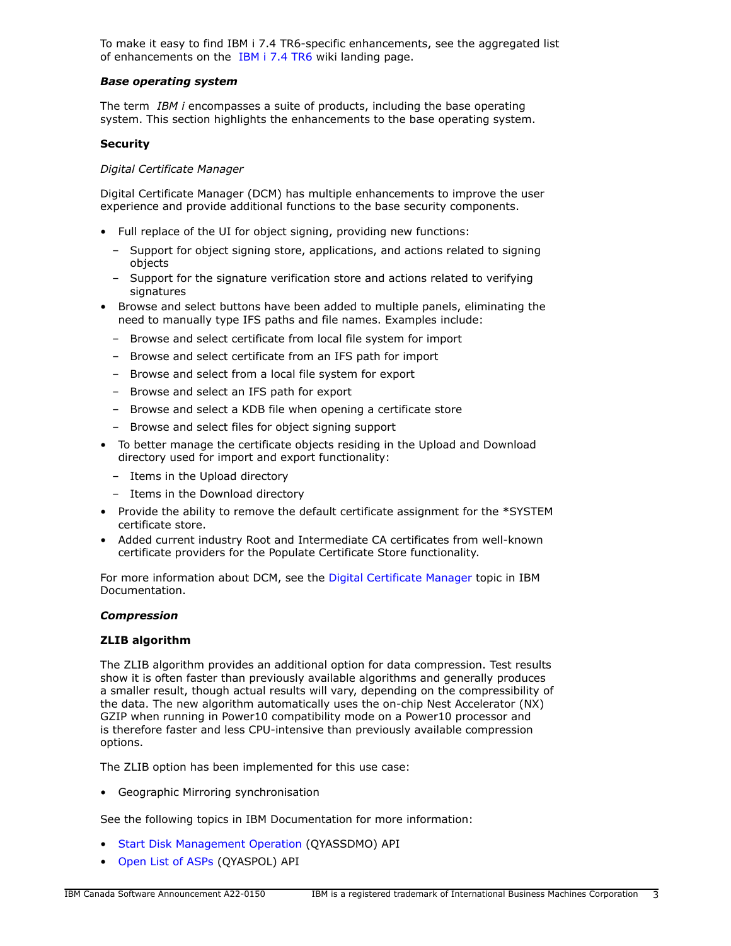To make it easy to find IBM i 7.4 TR6-specific enhancements, see the aggregated list of enhancements on the [IBM i 7.4 TR6](http://www.ibm.com/support/pages/ibm-i-74-tr6-enhancements) wiki landing page.

### *Base operating system*

The term *IBM i* encompasses a suite of products, including the base operating system. This section highlights the enhancements to the base operating system.

## **Security**

## *Digital Certificate Manager*

Digital Certificate Manager (DCM) has multiple enhancements to improve the user experience and provide additional functions to the base security components.

- Full replace of the UI for object signing, providing new functions:
	- Support for object signing store, applications, and actions related to signing objects
	- Support for the signature verification store and actions related to verifying signatures
- Browse and select buttons have been added to multiple panels, eliminating the need to manually type IFS paths and file names. Examples include:
	- Browse and select certificate from local file system for import
	- Browse and select certificate from an IFS path for import
	- Browse and select from a local file system for export
	- Browse and select an IFS path for export
	- Browse and select a KDB file when opening a certificate store
	- Browse and select files for object signing support
- To better manage the certificate objects residing in the Upload and Download directory used for import and export functionality:
	- Items in the Upload directory
	- Items in the Download directory
- Provide the ability to remove the default certificate assignment for the \*SYSTEM certificate store.
- Added current industry Root and Intermediate CA certificates from well-known certificate providers for the Populate Certificate Store functionality.

For more information about DCM, see the [Digital Certificate Manager](https://www.ibm.com/docs/en/i/7.4?topic=security-digital-certificate-manager) topic in IBM Documentation.

#### *Compression*

#### **ZLIB algorithm**

The ZLIB algorithm provides an additional option for data compression. Test results show it is often faster than previously available algorithms and generally produces a smaller result, though actual results will vary, depending on the compressibility of the data. The new algorithm automatically uses the on-chip Nest Accelerator (NX) GZIP when running in Power10 compatibility mode on a Power10 processor and is therefore faster and less CPU-intensive than previously available compression options.

The ZLIB option has been implemented for this use case:

• Geographic Mirroring synchronisation

See the following topics in IBM Documentation for more information:

- [Start Disk Management Operation](https://www.ibm.com/docs/en/i/7.4?topic=ssw_ibm_i_74/apis/qyassdmo.htm) (QYASSDMO) API
- [Open List of ASPs](https://www.ibm.com/docs/en/i/7.4?topic=ssw_ibm_i_74/apis/qyaspol.htm) (QYASPOL) API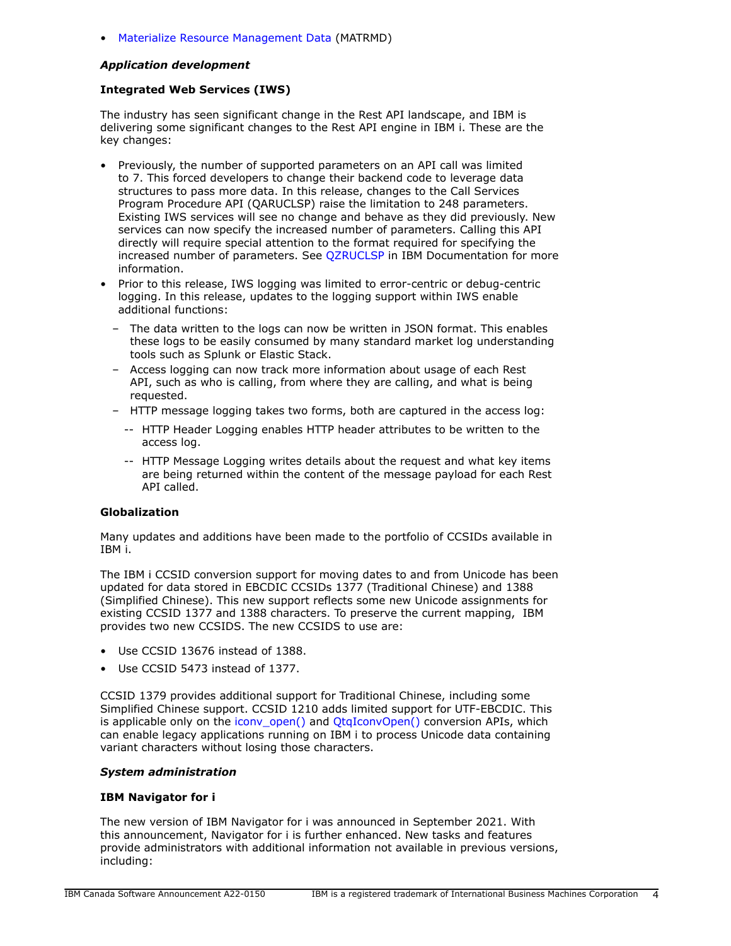## • [Materialize Resource Management Data](https://www.ibm.com/docs/en/i/7.4?topic=instructions-materialize-resource-management-data-matrmd) (MATRMD)

# *Application development*

# **Integrated Web Services (IWS)**

The industry has seen significant change in the Rest API landscape, and IBM is delivering some significant changes to the Rest API engine in IBM i. These are the key changes:

- Previously, the number of supported parameters on an API call was limited to 7. This forced developers to change their backend code to leverage data structures to pass more data. In this release, changes to the Call Services Program Procedure API (QARUCLSP) raise the limitation to 248 parameters. Existing IWS services will see no change and behave as they did previously. New services can now specify the increased number of parameters. Calling this API directly will require special attention to the format required for specifying the increased number of parameters. See [QZRUCLSP](https://www.ibm.com/docs/api/v1/content/ssw_ibm_i_74/apis/qzruclsp.htm) in IBM Documentation for more information.
- Prior to this release, IWS logging was limited to error-centric or debug-centric logging. In this release, updates to the logging support within IWS enable additional functions:
	- The data written to the logs can now be written in JSON format. This enables these logs to be easily consumed by many standard market log understanding tools such as Splunk or Elastic Stack.
	- Access logging can now track more information about usage of each Rest API, such as who is calling, from where they are calling, and what is being requested.
	- HTTP message logging takes two forms, both are captured in the access log:
		- -- HTTP Header Logging enables HTTP header attributes to be written to the access log.
		- -- HTTP Message Logging writes details about the request and what key items are being returned within the content of the message payload for each Rest API called.

# **Globalization**

Many updates and additions have been made to the portfolio of CCSIDs available in IBM i.

The IBM i CCSID conversion support for moving dates to and from Unicode has been updated for data stored in EBCDIC CCSIDs 1377 (Traditional Chinese) and 1388 (Simplified Chinese). This new support reflects some new Unicode assignments for existing CCSID 1377 and 1388 characters. To preserve the current mapping, IBM provides two new CCSIDS. The new CCSIDS to use are:

- Use CCSID 13676 instead of 1388.
- Use CCSID 5473 instead of 1377.

CCSID 1379 provides additional support for Traditional Chinese, including some Simplified Chinese support. CCSID 1210 adds limited support for UTF-EBCDIC. This is applicable only on the [iconv\\_open\(\)](https://ibmdocs-test.mybluemix.net/docs/en/ssw_ibm_i_74/apis/iconvopn.htm) and [QtqIconvOpen\(\)](https://ibmdocs-test.mybluemix.net/docs/en/ssw_ibm_i_74/apis/QTQICONV.htm) conversion APIs, which can enable legacy applications running on IBM i to process Unicode data containing variant characters without losing those characters.

#### *System administration*

#### **IBM Navigator for i**

The new version of IBM Navigator for i was announced in September 2021. With this announcement, Navigator for i is further enhanced. New tasks and features provide administrators with additional information not available in previous versions, including: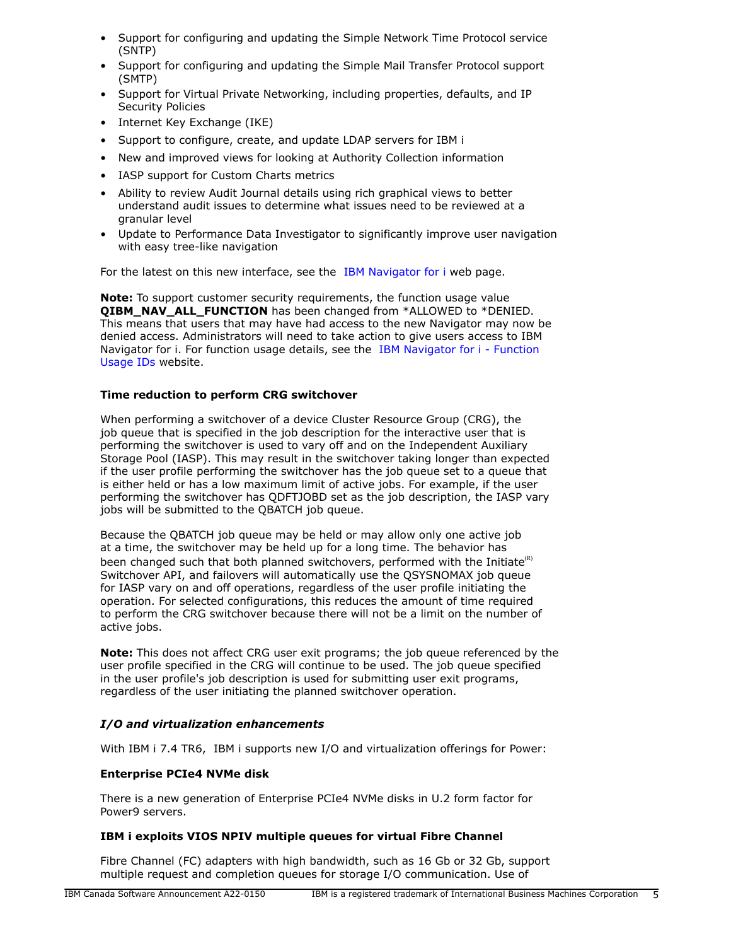- Support for configuring and updating the Simple Network Time Protocol service (SNTP)
- Support for configuring and updating the Simple Mail Transfer Protocol support (SMTP)
- Support for Virtual Private Networking, including properties, defaults, and IP Security Policies
- Internet Key Exchange (IKE)
- Support to configure, create, and update LDAP servers for IBM i
- New and improved views for looking at Authority Collection information
- IASP support for Custom Charts metrics
- Ability to review Audit Journal details using rich graphical views to better understand audit issues to determine what issues need to be reviewed at a granular level
- Update to Performance Data Investigator to significantly improve user navigation with easy tree-like navigation

For the latest on this new interface, see the [IBM Navigator for i](https://www.ibm.com/support/pages/node/6483299) web page.

**Note:** To support customer security requirements, the function usage value **QIBM\_NAV\_ALL\_FUNCTION** has been changed from \*ALLOWED to \*DENIED. This means that users that may have had access to the new Navigator may now be denied access. Administrators will need to take action to give users access to IBM Navigator for i. For function usage details, see the [IBM Navigator for i - Function](https://www.ibm.com/support/pages/node/6485853) [Usage IDs](https://www.ibm.com/support/pages/node/6485853) website.

# **Time reduction to perform CRG switchover**

When performing a switchover of a device Cluster Resource Group (CRG), the job queue that is specified in the job description for the interactive user that is performing the switchover is used to vary off and on the Independent Auxiliary Storage Pool (IASP). This may result in the switchover taking longer than expected if the user profile performing the switchover has the job queue set to a queue that is either held or has a low maximum limit of active jobs. For example, if the user performing the switchover has QDFTJOBD set as the job description, the IASP vary jobs will be submitted to the QBATCH job queue.

Because the QBATCH job queue may be held or may allow only one active job at a time, the switchover may be held up for a long time. The behavior has been changed such that both planned switchovers, performed with the Initiate $(R)$ Switchover API, and failovers will automatically use the QSYSNOMAX job queue for IASP vary on and off operations, regardless of the user profile initiating the operation. For selected configurations, this reduces the amount of time required to perform the CRG switchover because there will not be a limit on the number of active jobs.

**Note:** This does not affect CRG user exit programs; the job queue referenced by the user profile specified in the CRG will continue to be used. The job queue specified in the user profile's job description is used for submitting user exit programs, regardless of the user initiating the planned switchover operation.

# *I/O and virtualization enhancements*

With IBM i 7.4 TR6, IBM i supports new I/O and virtualization offerings for Power:

# **Enterprise PCIe4 NVMe disk**

There is a new generation of Enterprise PCIe4 NVMe disks in U.2 form factor for Power9 servers.

# **IBM i exploits VIOS NPIV multiple queues for virtual Fibre Channel**

Fibre Channel (FC) adapters with high bandwidth, such as 16 Gb or 32 Gb, support multiple request and completion queues for storage I/O communication. Use of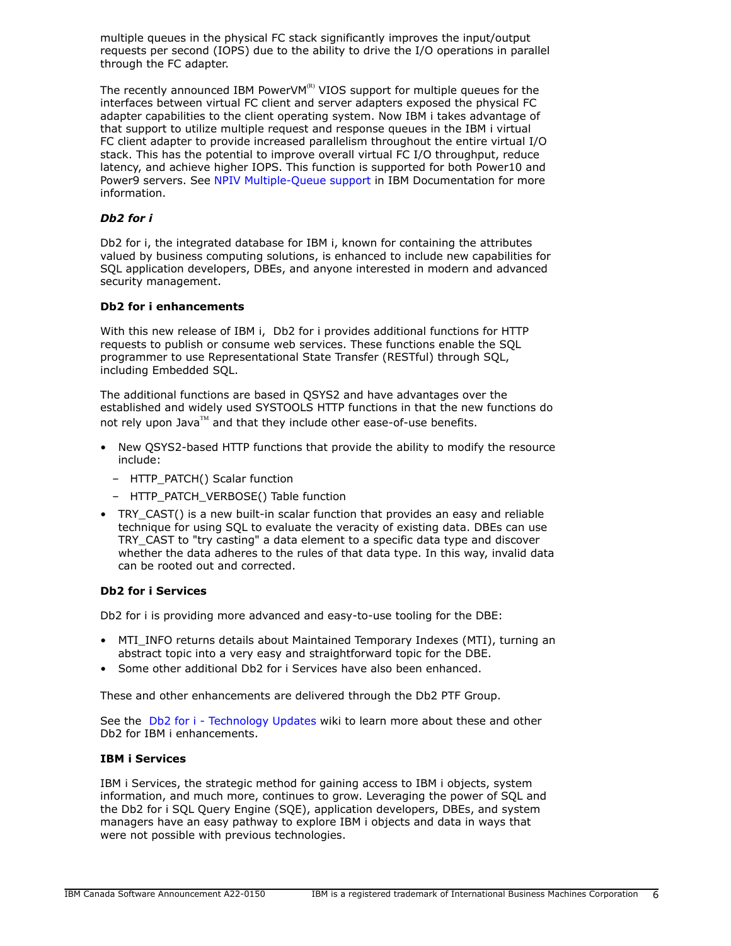multiple queues in the physical FC stack significantly improves the input/output requests per second (IOPS) due to the ability to drive the I/O operations in parallel through the FC adapter.

The recently announced IBM PowerVM $R$ <sup>R)</sup> VIOS support for multiple queues for the interfaces between virtual FC client and server adapters exposed the physical FC adapter capabilities to the client operating system. Now IBM i takes advantage of that support to utilize multiple request and response queues in the IBM i virtual FC client adapter to provide increased parallelism throughout the entire virtual I/O stack. This has the potential to improve overall virtual FC I/O throughput, reduce latency, and achieve higher IOPS. This function is supported for both Power10 and Power9 servers. See [NPIV Multiple-Queue support](https://www.ibm.com/docs/en/power10?topic=channel-npiv-multiple-queue-support) in IBM Documentation for more information.

## *Db2 for i*

Db2 for i, the integrated database for IBM i, known for containing the attributes valued by business computing solutions, is enhanced to include new capabilities for SQL application developers, DBEs, and anyone interested in modern and advanced security management.

#### **Db2 for i enhancements**

With this new release of IBM i, Db2 for i provides additional functions for HTTP requests to publish or consume web services. These functions enable the SQL programmer to use Representational State Transfer (RESTful) through SQL, including Embedded SQL.

The additional functions are based in QSYS2 and have advantages over the established and widely used SYSTOOLS HTTP functions in that the new functions do not rely upon Java™ and that they include other ease-of-use benefits.

- New QSYS2-based HTTP functions that provide the ability to modify the resource include:
	- HTTP\_PATCH() Scalar function
	- HTTP\_PATCH\_VERBOSE() Table function
- TRY CAST() is a new built-in scalar function that provides an easy and reliable technique for using SQL to evaluate the veracity of existing data. DBEs can use TRY\_CAST to "try casting" a data element to a specific data type and discover whether the data adheres to the rules of that data type. In this way, invalid data can be rooted out and corrected.

# **Db2 for i Services**

Db2 for i is providing more advanced and easy-to-use tooling for the DBE:

- MTI INFO returns details about Maintained Temporary Indexes (MTI), turning an abstract topic into a very easy and straightforward topic for the DBE.
- Some other additional Db2 for i Services have also been enhanced.

These and other enhancements are delivered through the Db2 PTF Group.

See the [Db2 for i - Technology Updates](http://www.ibm.com/ibmi/techupdates/db2) wiki to learn more about these and other Db2 for IBM i enhancements.

# **IBM i Services**

IBM i Services, the strategic method for gaining access to IBM i objects, system information, and much more, continues to grow. Leveraging the power of SQL and the Db2 for i SQL Query Engine (SQE), application developers, DBEs, and system managers have an easy pathway to explore IBM i objects and data in ways that were not possible with previous technologies.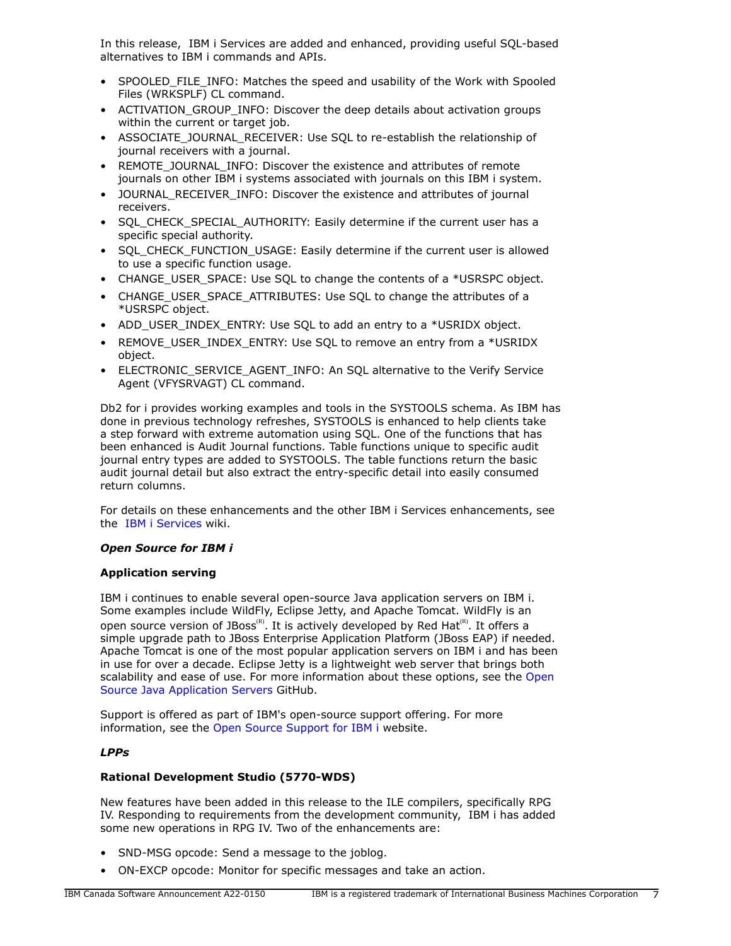In this release, IBM i Services are added and enhanced, providing useful SQL-based alternatives to IBM i commands and APIs.

- SPOOLED FILE INFO: Matches the speed and usability of the Work with Spooled Files (WRKSPLF) CL command.
- ACTIVATION\_GROUP\_INFO: Discover the deep details about activation groups within the current or target job.
- ASSOCIATE\_JOURNAL\_RECEIVER: Use SQL to re-establish the relationship of journal receivers with a journal.
- REMOTE\_JOURNAL\_INFO: Discover the existence and attributes of remote journals on other IBM i systems associated with journals on this IBM i system.
- JOURNAL\_RECEIVER\_INFO: Discover the existence and attributes of journal receivers.
- SQL\_CHECK\_SPECIAL\_AUTHORITY: Easily determine if the current user has a specific special authority.
- SQL\_CHECK\_FUNCTION\_USAGE: Easily determine if the current user is allowed to use a specific function usage.
- CHANGE\_USER\_SPACE: Use SQL to change the contents of a \*USRSPC object.
- CHANGE\_USER\_SPACE\_ATTRIBUTES: Use SOL to change the attributes of a \*USRSPC object.
- ADD\_USER\_INDEX\_ENTRY: Use SQL to add an entry to a \*USRIDX object.
- REMOVE\_USER\_INDEX\_ENTRY: Use SQL to remove an entry from a \*USRIDX object.
- ELECTRONIC SERVICE AGENT INFO: An SQL alternative to the Verify Service Agent (VFYSRVAGT) CL command.

Db2 for i provides working examples and tools in the SYSTOOLS schema. As IBM has done in previous technology refreshes, SYSTOOLS is enhanced to help clients take a step forward with extreme automation using SQL. One of the functions that has been enhanced is Audit Journal functions. Table functions unique to specific audit journal entry types are added to SYSTOOLS. The table functions return the basic audit journal detail but also extract the entry-specific detail into easily consumed return columns.

For details on these enhancements and the other IBM i Services enhancements, see the [IBM i Services](http://ibm.biz/Db2foriServices) wiki.

# *Open Source for IBM i*

# **Application serving**

IBM i continues to enable several open-source Java application servers on IBM i. Some examples include WildFly, Eclipse Jetty, and Apache Tomcat. WildFly is an open source version of JBoss<sup>(R)</sup>. It is actively developed by Red Hat<sup>(R)</sup>. It offers a simple upgrade path to JBoss Enterprise Application Platform (JBoss EAP) if needed. Apache Tomcat is one of the most popular application servers on IBM i and has been in use for over a decade. Eclipse Jetty is a lightweight web server that brings both scalability and ease of use. For more information about these options, see the [Open](https://ibmi-oss-docs.readthedocs.io/en/latest/java/APP_SERVERS.html) [Source Java Application Servers](https://ibmi-oss-docs.readthedocs.io/en/latest/java/APP_SERVERS.html) GitHub.

Support is offered as part of IBM's open-source support offering. For more information, see the [Open Source Support for IBM i](http://ibm.biz/ibmi-oss-support) website.

# *LPPs*

# **Rational Development Studio (5770-WDS)**

New features have been added in this release to the ILE compilers, specifically RPG IV. Responding to requirements from the development community, IBM i has added some new operations in RPG IV. Two of the enhancements are:

- SND-MSG opcode: Send a message to the joblog.
- ON-EXCP opcode: Monitor for specific messages and take an action.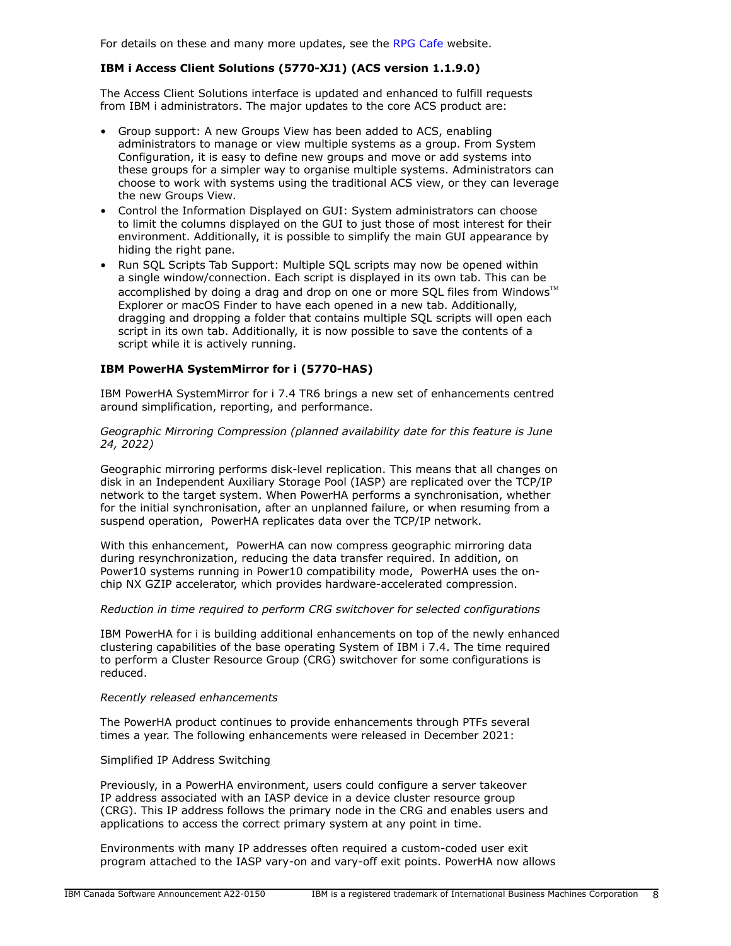For details on these and many more updates, see the [RPG Cafe](https://ibm.biz/rpg_cafe) website.

# **IBM i Access Client Solutions (5770-XJ1) (ACS version 1.1.9.0)**

The Access Client Solutions interface is updated and enhanced to fulfill requests from IBM i administrators. The major updates to the core ACS product are:

- Group support: A new Groups View has been added to ACS, enabling administrators to manage or view multiple systems as a group. From System Configuration, it is easy to define new groups and move or add systems into these groups for a simpler way to organise multiple systems. Administrators can choose to work with systems using the traditional ACS view, or they can leverage the new Groups View.
- Control the Information Displayed on GUI: System administrators can choose to limit the columns displayed on the GUI to just those of most interest for their environment. Additionally, it is possible to simplify the main GUI appearance by hiding the right pane.
- Run SQL Scripts Tab Support: Multiple SQL scripts may now be opened within a single window/connection. Each script is displayed in its own tab. This can be accomplished by doing a drag and drop on one or more SQL files from Windows $\mathbb{I}^{\mathbb{M}}$ Explorer or macOS Finder to have each opened in a new tab. Additionally, dragging and dropping a folder that contains multiple SQL scripts will open each script in its own tab. Additionally, it is now possible to save the contents of a script while it is actively running.

# **IBM PowerHA SystemMirror for i (5770-HAS)**

IBM PowerHA SystemMirror for i 7.4 TR6 brings a new set of enhancements centred around simplification, reporting, and performance.

*Geographic Mirroring Compression (planned availability date for this feature is June 24, 2022)*

Geographic mirroring performs disk-level replication. This means that all changes on disk in an Independent Auxiliary Storage Pool (IASP) are replicated over the TCP/IP network to the target system. When PowerHA performs a synchronisation, whether for the initial synchronisation, after an unplanned failure, or when resuming from a suspend operation, PowerHA replicates data over the TCP/IP network.

With this enhancement, PowerHA can now compress geographic mirroring data during resynchronization, reducing the data transfer required. In addition, on Power10 systems running in Power10 compatibility mode, PowerHA uses the onchip NX GZIP accelerator, which provides hardware-accelerated compression.

#### *Reduction in time required to perform CRG switchover for selected configurations*

IBM PowerHA for i is building additional enhancements on top of the newly enhanced clustering capabilities of the base operating System of IBM i 7.4. The time required to perform a Cluster Resource Group (CRG) switchover for some configurations is reduced.

#### *Recently released enhancements*

The PowerHA product continues to provide enhancements through PTFs several times a year. The following enhancements were released in December 2021:

#### Simplified IP Address Switching

Previously, in a PowerHA environment, users could configure a server takeover IP address associated with an IASP device in a device cluster resource group (CRG). This IP address follows the primary node in the CRG and enables users and applications to access the correct primary system at any point in time.

Environments with many IP addresses often required a custom-coded user exit program attached to the IASP vary-on and vary-off exit points. PowerHA now allows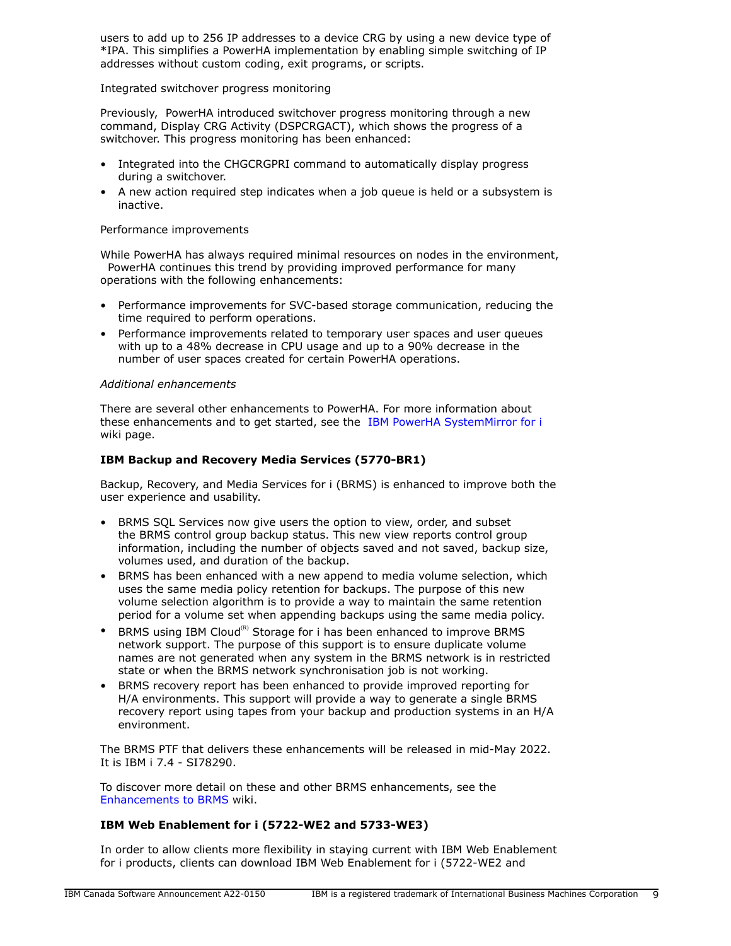users to add up to 256 IP addresses to a device CRG by using a new device type of \*IPA. This simplifies a PowerHA implementation by enabling simple switching of IP addresses without custom coding, exit programs, or scripts.

## Integrated switchover progress monitoring

Previously, PowerHA introduced switchover progress monitoring through a new command, Display CRG Activity (DSPCRGACT), which shows the progress of a switchover. This progress monitoring has been enhanced:

- Integrated into the CHGCRGPRI command to automatically display progress during a switchover.
- A new action required step indicates when a job queue is held or a subsystem is inactive.

## Performance improvements

While PowerHA has always required minimal resources on nodes in the environment, PowerHA continues this trend by providing improved performance for many operations with the following enhancements:

- Performance improvements for SVC-based storage communication, reducing the time required to perform operations.
- Performance improvements related to temporary user spaces and user queues with up to a 48% decrease in CPU usage and up to a 90% decrease in the number of user spaces created for certain PowerHA operations.

## *Additional enhancements*

There are several other enhancements to PowerHA. For more information about these enhancements and to get started, see the [IBM PowerHA SystemMirror for i](https://ibm.biz/ibmi-powerha) wiki page.

## **IBM Backup and Recovery Media Services (5770-BR1)**

Backup, Recovery, and Media Services for i (BRMS) is enhanced to improve both the user experience and usability.

- BRMS SQL Services now give users the option to view, order, and subset the BRMS control group backup status. This new view reports control group information, including the number of objects saved and not saved, backup size, volumes used, and duration of the backup.
- BRMS has been enhanced with a new append to media volume selection, which uses the same media policy retention for backups. The purpose of this new volume selection algorithm is to provide a way to maintain the same retention period for a volume set when appending backups using the same media policy.
- BRMS using IBM Cloud<sup>(R)</sup> Storage for i has been enhanced to improve BRMS network support. The purpose of this support is to ensure duplicate volume names are not generated when any system in the BRMS network is in restricted state or when the BRMS network synchronisation job is not working.
- BRMS recovery report has been enhanced to provide improved reporting for H/A environments. This support will provide a way to generate a single BRMS recovery report using tapes from your backup and production systems in an H/A environment.

The BRMS PTF that delivers these enhancements will be released in mid-May 2022. It is IBM i 7.4 - SI78290.

To discover more detail on these and other BRMS enhancements, see the [Enhancements to BRMS](https://helpsystemswiki.atlassian.net/wiki/spaces/IWT/pages/165642446/Enhancements+to+BRMS) wiki.

# **IBM Web Enablement for i (5722-WE2 and 5733-WE3)**

In order to allow clients more flexibility in staying current with IBM Web Enablement for i products, clients can download IBM Web Enablement for i (5722-WE2 and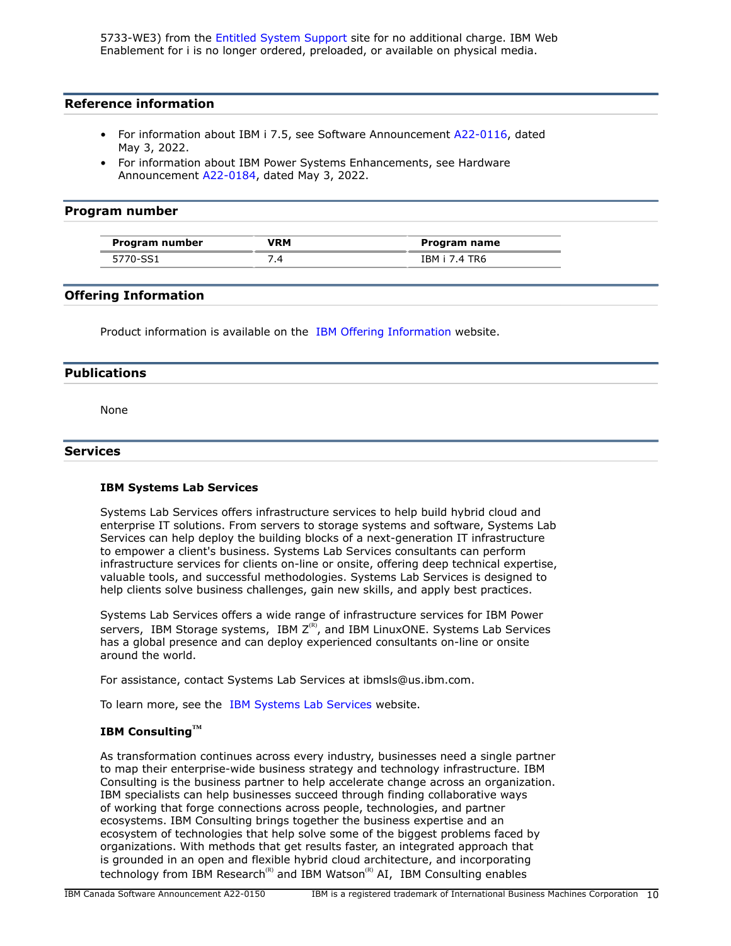5733-WE3) from the [Entitled System Support](https://www.ibm.com/servers/eserver/ess/index.wss) site for no additional charge. IBM Web Enablement for i is no longer ordered, preloaded, or available on physical media.

## **Reference information**

- For information about IBM i 7.5, see Software Announcement [A22-0116](http://www.ibm.com/common/ssi/cgi-bin/ssialias?infotype=an&subtype=ca&appname=gpateam&supplier=649&letternum=ENUSA22-0116), dated May 3, 2022.
- For information about IBM Power Systems Enhancements, see Hardware Announcement [A22-0184](http://www.ibm.com/common/ssi/cgi-bin/ssialias?infotype=an&subtype=ca&appname=gpateam&supplier=649&letternum=ENUSA22-0184), dated May 3, 2022.

## <span id="page-9-0"></span>**Program number**

| Program number | /RM | Program name  |
|----------------|-----|---------------|
| 5770-SS1       |     | IBM i 7.4 TR6 |

# **Offering Information**

Product information is available on the [IBM Offering Information](http://www.ibm.com/common/ssi) website.

#### <span id="page-9-1"></span>**Publications**

None

#### **Services**

#### **IBM Systems Lab Services**

Systems Lab Services offers infrastructure services to help build hybrid cloud and enterprise IT solutions. From servers to storage systems and software, Systems Lab Services can help deploy the building blocks of a next-generation IT infrastructure to empower a client's business. Systems Lab Services consultants can perform infrastructure services for clients on-line or onsite, offering deep technical expertise, valuable tools, and successful methodologies. Systems Lab Services is designed to help clients solve business challenges, gain new skills, and apply best practices.

Systems Lab Services offers a wide range of infrastructure services for IBM Power servers, IBM Storage systems, IBM  $Z^{(R)}$ , and IBM LinuxONE. Systems Lab Services has a global presence and can deploy experienced consultants on-line or onsite around the world.

For assistance, contact Systems Lab Services at ibmsls@us.ibm.com.

To learn more, see the [IBM Systems Lab Services](https://www.ibm.com/it-infrastructure/services/lab-services) website.

# **IBM ConsultingTM**

As transformation continues across every industry, businesses need a single partner to map their enterprise-wide business strategy and technology infrastructure. IBM Consulting is the business partner to help accelerate change across an organization. IBM specialists can help businesses succeed through finding collaborative ways of working that forge connections across people, technologies, and partner ecosystems. IBM Consulting brings together the business expertise and an ecosystem of technologies that help solve some of the biggest problems faced by organizations. With methods that get results faster, an integrated approach that is grounded in an open and flexible hybrid cloud architecture, and incorporating technology from IBM Research<sup>(R)</sup> and IBM Watson<sup>(R)</sup> AI, IBM Consulting enables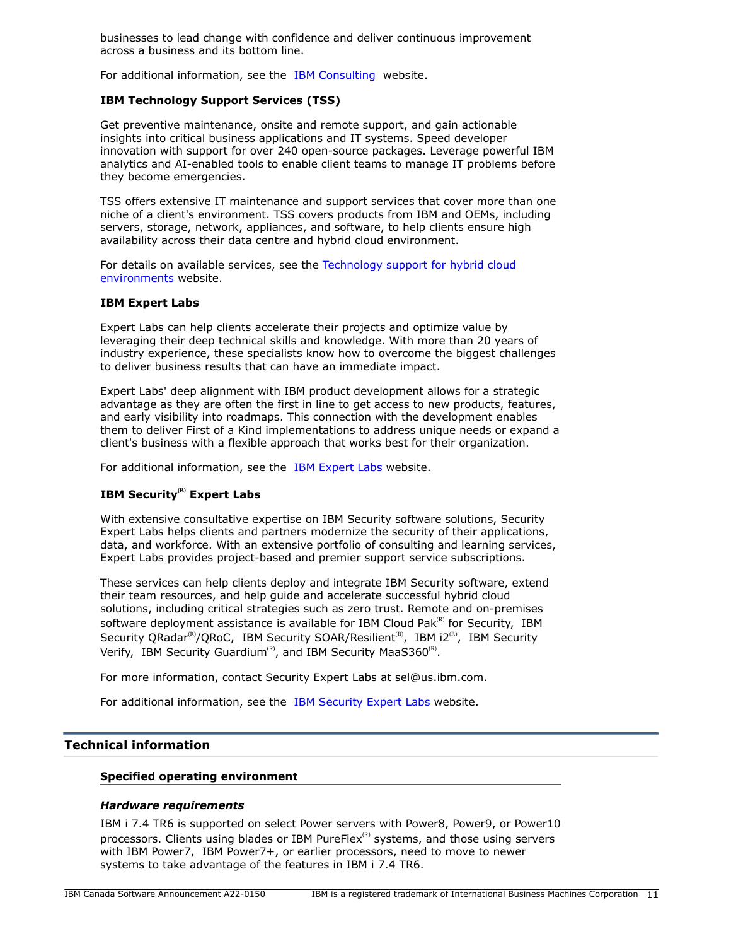businesses to lead change with confidence and deliver continuous improvement across a business and its bottom line.

For additional information, see the [IBM Consulting](https://www.ibm.com/consulting) website.

# **IBM Technology Support Services (TSS)**

Get preventive maintenance, onsite and remote support, and gain actionable insights into critical business applications and IT systems. Speed developer innovation with support for over 240 open-source packages. Leverage powerful IBM analytics and AI-enabled tools to enable client teams to manage IT problems before they become emergencies.

TSS offers extensive IT maintenance and support services that cover more than one niche of a client's environment. TSS covers products from IBM and OEMs, including servers, storage, network, appliances, and software, to help clients ensure high availability across their data centre and hybrid cloud environment.

For details on available services, see the [Technology support for hybrid cloud](https://www.ibm.com/services/technology-support) [environments](https://www.ibm.com/services/technology-support) website.

#### **IBM Expert Labs**

Expert Labs can help clients accelerate their projects and optimize value by leveraging their deep technical skills and knowledge. With more than 20 years of industry experience, these specialists know how to overcome the biggest challenges to deliver business results that can have an immediate impact.

Expert Labs' deep alignment with IBM product development allows for a strategic advantage as they are often the first in line to get access to new products, features, and early visibility into roadmaps. This connection with the development enables them to deliver First of a Kind implementations to address unique needs or expand a client's business with a flexible approach that works best for their organization.

For additional information, see the [IBM Expert Labs](https://www.ibm.com/products/expertlabs) website.

# **IBM Security(R) Expert Labs**

With extensive consultative expertise on IBM Security software solutions, Security Expert Labs helps clients and partners modernize the security of their applications, data, and workforce. With an extensive portfolio of consulting and learning services, Expert Labs provides project-based and premier support service subscriptions.

These services can help clients deploy and integrate IBM Security software, extend their team resources, and help guide and accelerate successful hybrid cloud solutions, including critical strategies such as zero trust. Remote and on-premises software deployment assistance is available for IBM Cloud Pak $R$ <sup>(R)</sup> for Security, IBM Security QRadar<sup>(R)</sup>/QRoC, IBM Security SOAR/Resilient<sup>(R)</sup>, IBM i2<sup>(R)</sup>, IBM Security Verify, IBM Security Guardium<sup>(R)</sup>, and IBM Security MaaS360<sup>(R)</sup>.

For more information, contact Security Expert Labs at sel@us.ibm.com.

For additional information, see the [IBM Security Expert Labs](https://www.ibm.com/security/security-expert-labs) website.

# <span id="page-10-0"></span>**Technical information**

#### **Specified operating environment**

#### *Hardware requirements*

IBM i 7.4 TR6 is supported on select Power servers with Power8, Power9, or Power10 processors. Clients using blades or IBM PureFlex ${}^{\text{\tiny(R)}}$  systems, and those using servers with IBM Power7, IBM Power7+, or earlier processors, need to move to newer systems to take advantage of the features in IBM i 7.4 TR6.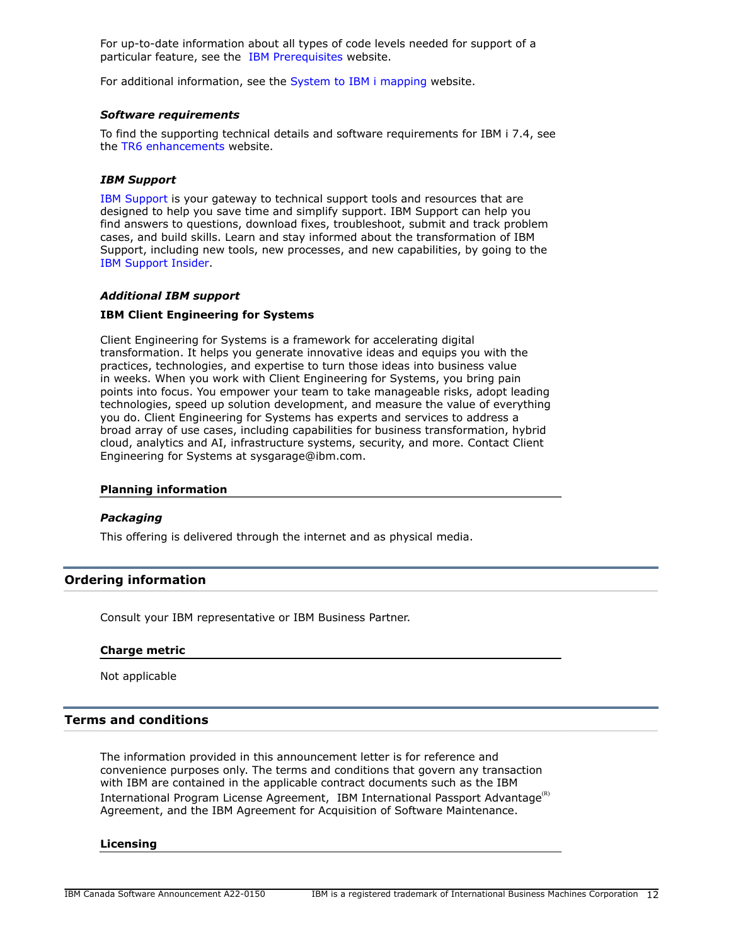For up-to-date information about all types of code levels needed for support of a particular feature, see the [IBM Prerequisites](https://www-912.ibm.com/e_dir/eServerPrereq.nsf) website.

For additional information, see the [System to IBM i mapping](http://www-01.ibm.com/support/docview.wss?uid=ssm1platformibmi) website.

#### *Software requirements*

To find the supporting technical details and software requirements for IBM i 7.4, see the [TR6 enhancements](https://www.ibm.com/ibmi/techupdates/i74-tr6) website.

#### *IBM Support*

[IBM Support](https://www.ibm.com/support) is your gateway to technical support tools and resources that are designed to help you save time and simplify support. IBM Support can help you find answers to questions, download fixes, troubleshoot, submit and track problem cases, and build skills. Learn and stay informed about the transformation of IBM Support, including new tools, new processes, and new capabilities, by going to the [IBM Support Insider](https://www.ibm.com/support/insider).

#### *Additional IBM support*

#### **IBM Client Engineering for Systems**

Client Engineering for Systems is a framework for accelerating digital transformation. It helps you generate innovative ideas and equips you with the practices, technologies, and expertise to turn those ideas into business value in weeks. When you work with Client Engineering for Systems, you bring pain points into focus. You empower your team to take manageable risks, adopt leading technologies, speed up solution development, and measure the value of everything you do. Client Engineering for Systems has experts and services to address a broad array of use cases, including capabilities for business transformation, hybrid cloud, analytics and AI, infrastructure systems, security, and more. Contact Client Engineering for Systems at sysgarage@ibm.com.

#### **Planning information**

#### *Packaging*

This offering is delivered through the internet and as physical media.

# <span id="page-11-0"></span>**Ordering information**

Consult your IBM representative or IBM Business Partner.

#### **Charge metric**

Not applicable

# <span id="page-11-1"></span>**Terms and conditions**

The information provided in this announcement letter is for reference and convenience purposes only. The terms and conditions that govern any transaction with IBM are contained in the applicable contract documents such as the IBM International Program License Agreement, IBM International Passport Advantage<sup>(R)</sup> Agreement, and the IBM Agreement for Acquisition of Software Maintenance.

#### **Licensing**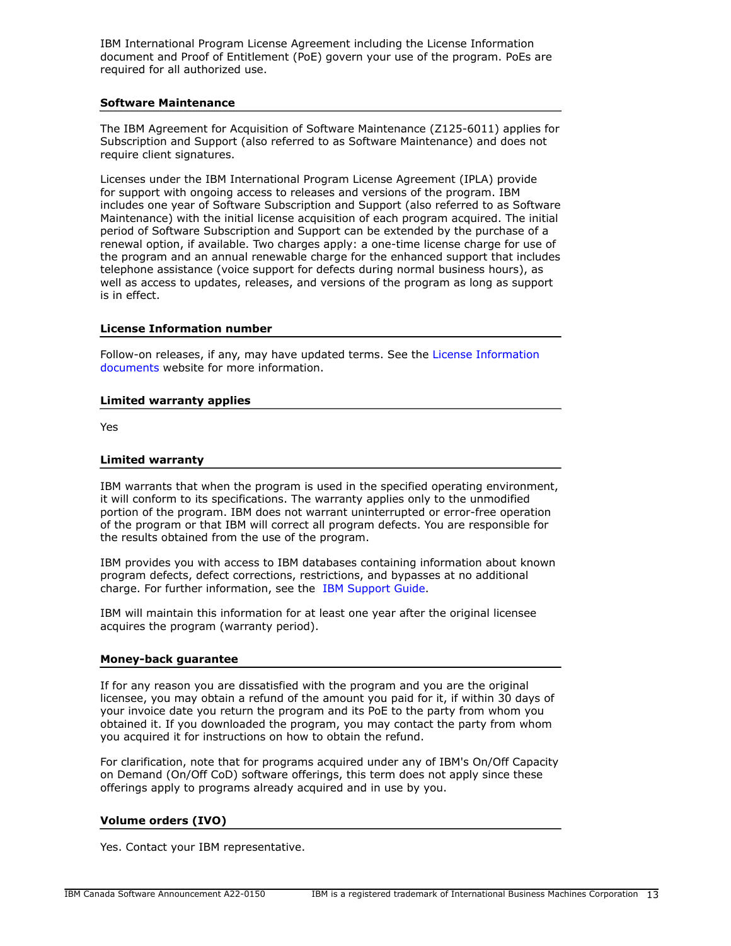IBM International Program License Agreement including the License Information document and Proof of Entitlement (PoE) govern your use of the program. PoEs are required for all authorized use.

## **Software Maintenance**

The IBM Agreement for Acquisition of Software Maintenance (Z125-6011) applies for Subscription and Support (also referred to as Software Maintenance) and does not require client signatures.

Licenses under the IBM International Program License Agreement (IPLA) provide for support with ongoing access to releases and versions of the program. IBM includes one year of Software Subscription and Support (also referred to as Software Maintenance) with the initial license acquisition of each program acquired. The initial period of Software Subscription and Support can be extended by the purchase of a renewal option, if available. Two charges apply: a one-time license charge for use of the program and an annual renewable charge for the enhanced support that includes telephone assistance (voice support for defects during normal business hours), as well as access to updates, releases, and versions of the program as long as support is in effect.

## **License Information number**

Follow-on releases, if any, may have updated terms. See the [License Information](https://www.ibm.com/software/sla/sladb.nsf/search?OpenForm) [documents](https://www.ibm.com/software/sla/sladb.nsf/search?OpenForm) website for more information.

#### **Limited warranty applies**

Yes

#### **Limited warranty**

IBM warrants that when the program is used in the specified operating environment, it will conform to its specifications. The warranty applies only to the unmodified portion of the program. IBM does not warrant uninterrupted or error-free operation of the program or that IBM will correct all program defects. You are responsible for the results obtained from the use of the program.

IBM provides you with access to IBM databases containing information about known program defects, defect corrections, restrictions, and bypasses at no additional charge. For further information, see the [IBM Support Guide](http://www.ibm.com/support/customercare/sas/f/handbook/home.html).

IBM will maintain this information for at least one year after the original licensee acquires the program (warranty period).

#### **Money-back guarantee**

If for any reason you are dissatisfied with the program and you are the original licensee, you may obtain a refund of the amount you paid for it, if within 30 days of your invoice date you return the program and its PoE to the party from whom you obtained it. If you downloaded the program, you may contact the party from whom you acquired it for instructions on how to obtain the refund.

For clarification, note that for programs acquired under any of IBM's On/Off Capacity on Demand (On/Off CoD) software offerings, this term does not apply since these offerings apply to programs already acquired and in use by you.

# **Volume orders (IVO)**

Yes. Contact your IBM representative.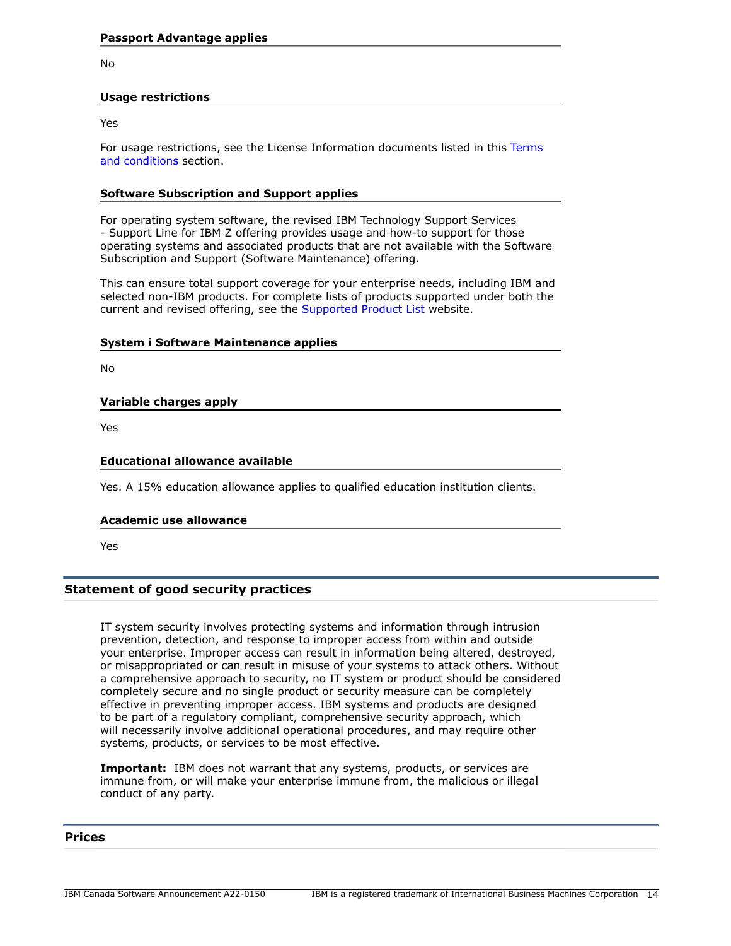No

## **Usage restrictions**

Yes

For usage restrictions, see the License Information documents listed in this [Terms](#page-11-1) [and conditions](#page-11-1) section.

## **Software Subscription and Support applies**

For operating system software, the revised IBM Technology Support Services - Support Line for IBM Z offering provides usage and how-to support for those operating systems and associated products that are not available with the Software Subscription and Support (Software Maintenance) offering.

This can ensure total support coverage for your enterprise needs, including IBM and selected non-IBM products. For complete lists of products supported under both the current and revised offering, see the [Supported Product List](http://www-03.ibm.com/services/supline/products/index.html) website.

#### **System i Software Maintenance applies**

No

# **Variable charges apply**

Yes

## **Educational allowance available**

Yes. A 15% education allowance applies to qualified education institution clients.

#### **Academic use allowance**

Yes

# **Statement of good security practices**

IT system security involves protecting systems and information through intrusion prevention, detection, and response to improper access from within and outside your enterprise. Improper access can result in information being altered, destroyed, or misappropriated or can result in misuse of your systems to attack others. Without a comprehensive approach to security, no IT system or product should be considered completely secure and no single product or security measure can be completely effective in preventing improper access. IBM systems and products are designed to be part of a regulatory compliant, comprehensive security approach, which will necessarily involve additional operational procedures, and may require other systems, products, or services to be most effective.

**Important:** IBM does not warrant that any systems, products, or services are immune from, or will make your enterprise immune from, the malicious or illegal conduct of any party.

## <span id="page-13-0"></span>**Prices**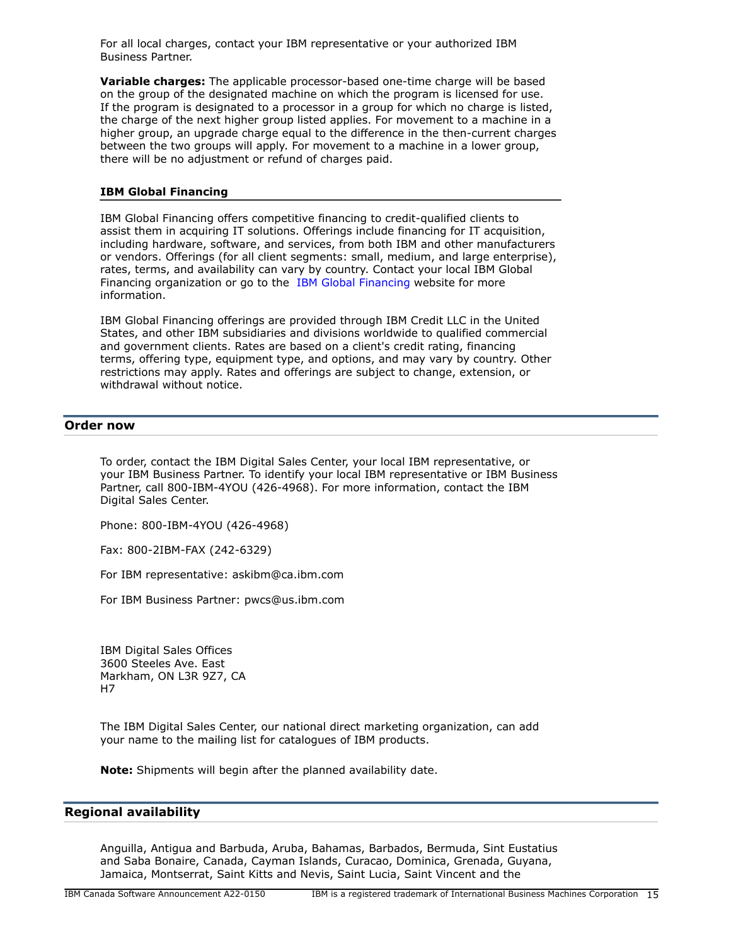For all local charges, contact your IBM representative or your authorized IBM Business Partner.

**Variable charges:** The applicable processor-based one-time charge will be based on the group of the designated machine on which the program is licensed for use. If the program is designated to a processor in a group for which no charge is listed, the charge of the next higher group listed applies. For movement to a machine in a higher group, an upgrade charge equal to the difference in the then-current charges between the two groups will apply. For movement to a machine in a lower group, there will be no adjustment or refund of charges paid.

## **IBM Global Financing**

IBM Global Financing offers competitive financing to credit-qualified clients to assist them in acquiring IT solutions. Offerings include financing for IT acquisition, including hardware, software, and services, from both IBM and other manufacturers or vendors. Offerings (for all client segments: small, medium, and large enterprise), rates, terms, and availability can vary by country. Contact your local IBM Global Financing organization or go to the [IBM Global Financing](http://www.ibm.com/financing) website for more information.

IBM Global Financing offerings are provided through IBM Credit LLC in the United States, and other IBM subsidiaries and divisions worldwide to qualified commercial and government clients. Rates are based on a client's credit rating, financing terms, offering type, equipment type, and options, and may vary by country. Other restrictions may apply. Rates and offerings are subject to change, extension, or withdrawal without notice.

## <span id="page-14-0"></span>**Order now**

To order, contact the IBM Digital Sales Center, your local IBM representative, or your IBM Business Partner. To identify your local IBM representative or IBM Business Partner, call 800-IBM-4YOU (426-4968). For more information, contact the IBM Digital Sales Center.

Phone: 800-IBM-4YOU (426-4968)

Fax: 800-2IBM-FAX (242-6329)

For IBM representative: askibm@ca.ibm.com

For IBM Business Partner: pwcs@us.ibm.com

IBM Digital Sales Offices 3600 Steeles Ave. East Markham, ON L3R 9Z7, CA H7

The IBM Digital Sales Center, our national direct marketing organization, can add your name to the mailing list for catalogues of IBM products.

**Note:** Shipments will begin after the planned availability date.

## <span id="page-14-1"></span>**Regional availability**

Anguilla, Antigua and Barbuda, Aruba, Bahamas, Barbados, Bermuda, Sint Eustatius and Saba Bonaire, Canada, Cayman Islands, Curacao, Dominica, Grenada, Guyana, Jamaica, Montserrat, Saint Kitts and Nevis, Saint Lucia, Saint Vincent and the